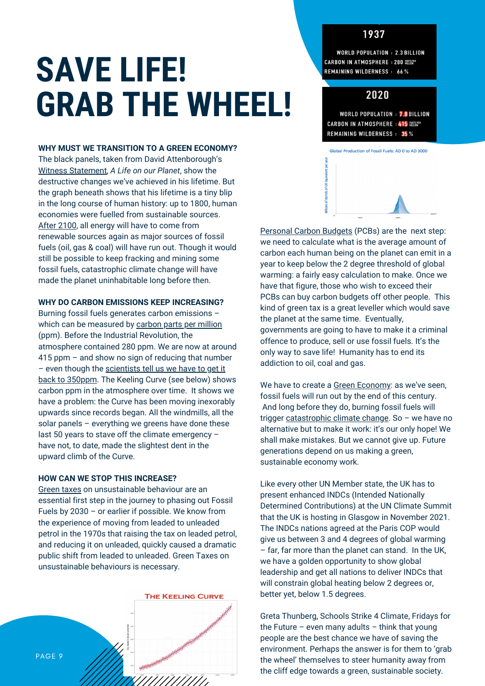# 1937

# **SAVE LIFE! GRAB THE WHEEL!**

#### **WHY MUST WE TRANSITION TO A GREEN ECONOMY?**

The black panels, taken from David Attenborough's Witness Statement, *A Life on our Planet*, show the destructive changes we've achieved in his lifetime. But the graph beneath shows that his lifetime is a tiny blip in the long course of human history: up to 1800, human economies were fuelled from sustainable sources. After 2100, all energy will have to come from renewable sources again as major sources of fossil fuels (oil, gas & coal) will have run out. Though it would still be possible to keep fracking and mining some fossil fuels, catastrophic climate change will have made the planet uninhabitable long before then.

#### **WHY DO CARBON EMISSIONS KEEP INCREASING?**

Burning fossil fuels generates carbon emissions – which can be measured by carbon parts per million (ppm). Before the Industrial Revolution, the atmosphere contained 280 ppm. We are now at around 415 ppm – and show no sign of reducing that number – even though the scientists tell us we have to get it back to 350ppm. The Keeling Curve (see below) shows carbon ppm in the atmosphere over time. It shows we have a problem: the Curve has been moving inexorably upwards since records began. All the windmills, all the solar panels – everything we greens have done these last 50 years to stave off the climate emergency – have not, to date, made the slightest dent in the upward climb of the Curve.

#### **HOW CAN WE STOP THIS INCREASE?**

Green taxes on unsustainable behaviour are an essential first step in the journey to phasing out Fossil Fuels by 2030 – or earlier if possible. We know from the experience of moving from leaded to unleaded petrol in the 1970s that raising the tax on leaded petrol, and reducing it on unleaded, quickly caused a dramatic public shift from leaded to unleaded. Green Taxes on unsustainable behaviours is necessary.



**WORLD POPULATION : 2.3 BILLION CARBON IN ATMOSPHERE : 280 RESPER REMAINING WILDERNESS: 66%** 

# 2020

**WORLD POPULATION : 7.8 BILLION** CARBON IN ATMOSPHERE : 415 NETSPER **REMAINING WILDERNESS : 35%** 



Personal Carbon Budgets (PCBs) are the next step: we need to calculate what is the average amount of carbon each human being on the planet can emit in a year to keep below the 2 degree threshold of global warming: a fairly easy calculation to make. Once we have that figure, those who wish to exceed their PCBs can buy carbon budgets off other people. This kind of green tax is a great leveller which would save the planet at the same time. Eventually, governments are going to have to make it a criminal offence to produce, sell or use fossil fuels. It's the only way to save life! Humanity has to end its addiction to oil, coal and gas.

We have to create a Green Economy: as we've seen, fossil fuels will run out by the end of this century. And long before they do, burning fossil fuels will trigger catastrophic climate change. So - we have no alternative but to make it work: it's our only hope! We shall make mistakes. But we cannot give up. Future generations depend on us making a green, sustainable economy work.

Like every other UN Member state, the UK has to present enhanced INDCs (Intended Nationally Determined Contributions) at the UN Climate Summit that the UK is hosting in Glasgow in November 2021. The INDCs nations agreed at the Paris COP would give us between 3 and 4 degrees of global warming – far, far more than the planet can stand. In the UK, we have a golden opportunity to show global leadership and get all nations to deliver INDCs that will constrain global heating below 2 degrees or, better yet, below 1.5 degrees.

Greta Thunberg, Schools Strike 4 Climate, Fridays for the Future – even many adults – think that young people are the best chance we have of saving the environment. Perhaps the answer is for them to 'grab the wheel' themselves to steer humanity away from the cliff edge towards a green, sustainable society.